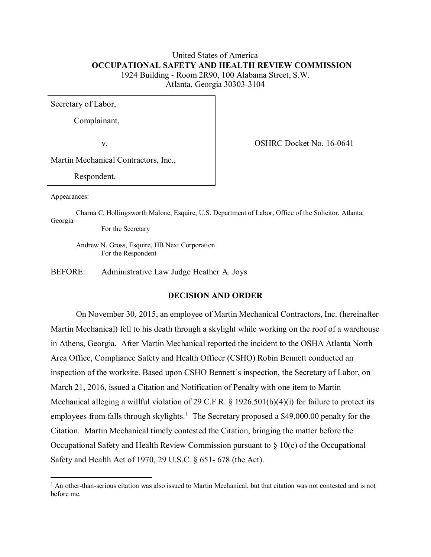# United States of America  **OCCUPATIONAL SAFETY AND HEALTH REVIEW COMMISSION** 1924 Building - Room 2R90, 100 Alabama Street, S.W. Atlanta, Georgia 30303-3104

Secretary of Labor,

Complainant,

v. COSHRC Docket No. 16-0641

Martin Mechanical Contractors, Inc.,

Respondent.

Appearances:

 $\overline{\phantom{a}}$ 

Charna C. Hollingsworth Malone, Esquire, U.S. Department of Labor, Office of the Solicitor, Atlanta, Georgia

For the Secretary

Andrew N. Gross, Esquire, HB Next Corporation For the Respondent

BEFORE: Administrative Law Judge Heather A. Joys

### **DECISION AND ORDER**

On November 30, 2015, an employee of Martin Mechanical Contractors, Inc. (hereinafter Martin Mechanical) fell to his death through a skylight while working on the roof of a warehouse in Athens, Georgia. After Martin Mechanical reported the incident to the OSHA Atlanta North Area Office, Compliance Safety and Health Officer (CSHO) Robin Bennett conducted an inspection of the worksite. Based upon CSHO Bennett's inspection, the Secretary of Labor, on March 21, 2016, issued a Citation and Notification of Penalty with one item to Martin Mechanical alleging a willful violation of 29 C.F.R. § 1926.501(b)(4)(i) for failure to protect its employees from falls through skylights.<sup>[1](#page-0-0)</sup> The Secretary proposed a \$49,000.00 penalty for the Citation. Martin Mechanical timely contested the Citation, bringing the matter before the Occupational Safety and Health Review Commission pursuant to  $\S 10(c)$  of the Occupational Safety and Health Act of 1970, 29 U.S.C. § 651- 678 (the Act).

<span id="page-0-0"></span><sup>&</sup>lt;sup>1</sup> An other-than-serious citation was also issued to Martin Mechanical, but that citation was not contested and is not before me.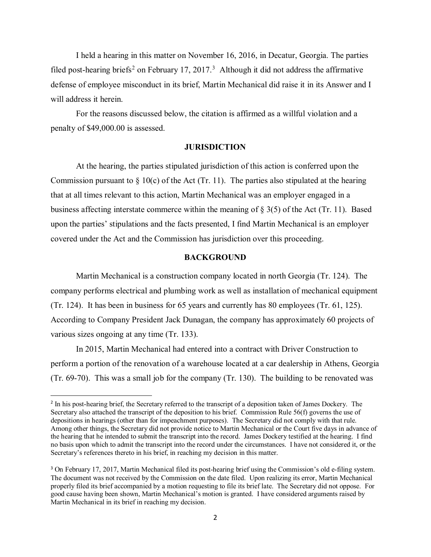I held a hearing in this matter on November 16, 2016, in Decatur, Georgia. The parties filed post-hearing briefs<sup>[2](#page-1-0)</sup> on February 17, 2017.<sup>[3](#page-1-1)</sup> Although it did not address the affirmative defense of employee misconduct in its brief, Martin Mechanical did raise it in its Answer and I will address it herein.

For the reasons discussed below, the citation is affirmed as a willful violation and a penalty of \$49,000.00 is assessed.

### **JURISDICTION**

At the hearing, the parties stipulated jurisdiction of this action is conferred upon the Commission pursuant to  $\S$  10(c) of the Act (Tr. 11). The parties also stipulated at the hearing that at all times relevant to this action, Martin Mechanical was an employer engaged in a business affecting interstate commerce within the meaning of  $\S 3(5)$  of the Act (Tr. 11). Based upon the parties' stipulations and the facts presented, I find Martin Mechanical is an employer covered under the Act and the Commission has jurisdiction over this proceeding.

### **BACKGROUND**

Martin Mechanical is a construction company located in north Georgia (Tr. 124). The company performs electrical and plumbing work as well as installation of mechanical equipment (Tr. 124). It has been in business for 65 years and currently has 80 employees (Tr. 61, 125). According to Company President Jack Dunagan, the company has approximately 60 projects of various sizes ongoing at any time (Tr. 133).

In 2015, Martin Mechanical had entered into a contract with Driver Construction to perform a portion of the renovation of a warehouse located at a car dealership in Athens, Georgia (Tr. 69-70). This was a small job for the company (Tr. 130). The building to be renovated was

 $\overline{a}$ 

<span id="page-1-0"></span><sup>&</sup>lt;sup>2</sup> In his post-hearing brief, the Secretary referred to the transcript of a deposition taken of James Dockery. The Secretary also attached the transcript of the deposition to his brief. Commission Rule 56(f) governs the use of depositions in hearings (other than for impeachment purposes). The Secretary did not comply with that rule. Among other things, the Secretary did not provide notice to Martin Mechanical or the Court five days in advance of the hearing that he intended to submit the transcript into the record. James Dockery testified at the hearing. I find no basis upon which to admit the transcript into the record under the circumstances. I have not considered it, or the Secretary's references thereto in his brief, in reaching my decision in this matter.

<span id="page-1-1"></span><sup>3</sup> On February 17, 2017, Martin Mechanical filed its post-hearing brief using the Commission's old e-filing system. The document was not received by the Commission on the date filed. Upon realizing its error, Martin Mechanical properly filed its brief accompanied by a motion requesting to file its brief late. The Secretary did not oppose. For good cause having been shown, Martin Mechanical's motion is granted. I have considered arguments raised by Martin Mechanical in its brief in reaching my decision.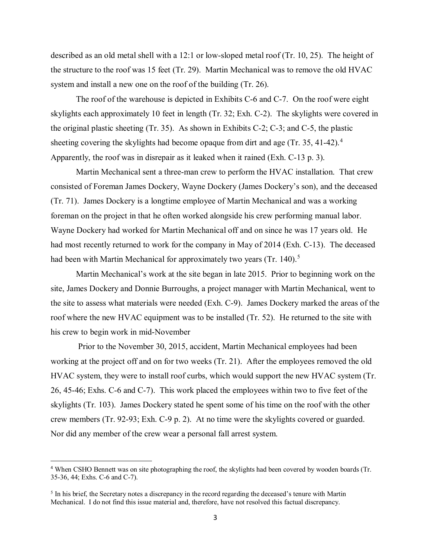described as an old metal shell with a 12:1 or low-sloped metal roof (Tr. 10, 25). The height of the structure to the roof was 15 feet (Tr. 29). Martin Mechanical was to remove the old HVAC system and install a new one on the roof of the building (Tr. 26).

The roof of the warehouse is depicted in Exhibits C-6 and C-7. On the roof were eight skylights each approximately 10 feet in length (Tr. 32; Exh. C-2). The skylights were covered in the original plastic sheeting (Tr. 35). As shown in Exhibits C-2; C-3; and C-5, the plastic sheeting covering the skylights had become opaque from dirt and age (Tr. 35, [4](#page-2-0)1-42).<sup>4</sup> Apparently, the roof was in disrepair as it leaked when it rained (Exh. C-13 p. 3).

Martin Mechanical sent a three-man crew to perform the HVAC installation. That crew consisted of Foreman James Dockery, Wayne Dockery (James Dockery's son), and the deceased (Tr. 71). James Dockery is a longtime employee of Martin Mechanical and was a working foreman on the project in that he often worked alongside his crew performing manual labor. Wayne Dockery had worked for Martin Mechanical off and on since he was 17 years old. He had most recently returned to work for the company in May of 2014 (Exh. C-13). The deceased had been with Martin Mechanical for approximately two years (Tr. 140).<sup>[5](#page-2-1)</sup>

Martin Mechanical's work at the site began in late 2015. Prior to beginning work on the site, James Dockery and Donnie Burroughs, a project manager with Martin Mechanical, went to the site to assess what materials were needed (Exh. C-9). James Dockery marked the areas of the roof where the new HVAC equipment was to be installed (Tr. 52). He returned to the site with his crew to begin work in mid-November

Prior to the November 30, 2015, accident, Martin Mechanical employees had been working at the project off and on for two weeks (Tr. 21). After the employees removed the old HVAC system, they were to install roof curbs, which would support the new HVAC system (Tr. 26, 45-46; Exhs. C-6 and C-7). This work placed the employees within two to five feet of the skylights (Tr. 103). James Dockery stated he spent some of his time on the roof with the other crew members (Tr. 92-93; Exh. C-9 p. 2). At no time were the skylights covered or guarded. Nor did any member of the crew wear a personal fall arrest system.

 $\overline{\phantom{a}}$ 

<span id="page-2-0"></span><sup>4</sup> When CSHO Bennett was on site photographing the roof, the skylights had been covered by wooden boards (Tr. 35-36, 44; Exhs. C-6 and C-7).

<span id="page-2-1"></span><sup>&</sup>lt;sup>5</sup> In his brief, the Secretary notes a discrepancy in the record regarding the deceased's tenure with Martin Mechanical. I do not find this issue material and, therefore, have not resolved this factual discrepancy.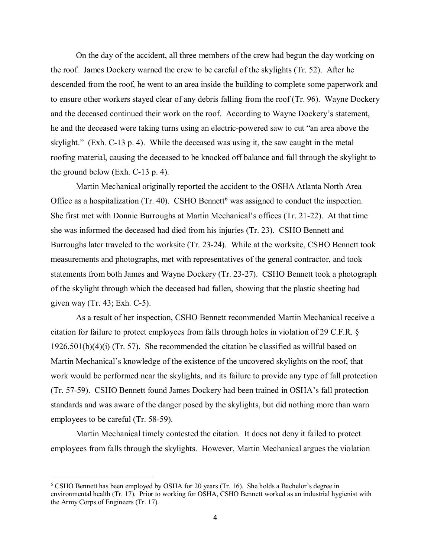On the day of the accident, all three members of the crew had begun the day working on the roof. James Dockery warned the crew to be careful of the skylights (Tr. 52). After he descended from the roof, he went to an area inside the building to complete some paperwork and to ensure other workers stayed clear of any debris falling from the roof (Tr. 96). Wayne Dockery and the deceased continued their work on the roof. According to Wayne Dockery's statement, he and the deceased were taking turns using an electric-powered saw to cut "an area above the skylight." (Exh. C-13 p. 4). While the deceased was using it, the saw caught in the metal roofing material, causing the deceased to be knocked off balance and fall through the skylight to the ground below (Exh. C-13 p. 4).

Martin Mechanical originally reported the accident to the OSHA Atlanta North Area Office as a hospitalization (Tr. 40). CSHO Bennett<sup>[6](#page-3-0)</sup> was assigned to conduct the inspection. She first met with Donnie Burroughs at Martin Mechanical's offices (Tr. 21-22). At that time she was informed the deceased had died from his injuries (Tr. 23). CSHO Bennett and Burroughs later traveled to the worksite (Tr. 23-24). While at the worksite, CSHO Bennett took measurements and photographs, met with representatives of the general contractor, and took statements from both James and Wayne Dockery (Tr. 23-27). CSHO Bennett took a photograph of the skylight through which the deceased had fallen, showing that the plastic sheeting had given way  $(Tr. 43; Exh. C-5)$ .

As a result of her inspection, CSHO Bennett recommended Martin Mechanical receive a citation for failure to protect employees from falls through holes in violation of 29 C.F.R. § 1926.501(b)(4)(i) (Tr. 57). She recommended the citation be classified as willful based on Martin Mechanical's knowledge of the existence of the uncovered skylights on the roof, that work would be performed near the skylights, and its failure to provide any type of fall protection (Tr. 57-59). CSHO Bennett found James Dockery had been trained in OSHA's fall protection standards and was aware of the danger posed by the skylights, but did nothing more than warn employees to be careful (Tr. 58-59).

Martin Mechanical timely contested the citation. It does not deny it failed to protect employees from falls through the skylights. However, Martin Mechanical argues the violation

<span id="page-3-0"></span><sup>6</sup> CSHO Bennett has been employed by OSHA for 20 years (Tr. 16). She holds a Bachelor's degree in environmental health (Tr. 17). Prior to working for OSHA, CSHO Bennett worked as an industrial hygienist with the Army Corps of Engineers (Tr. 17).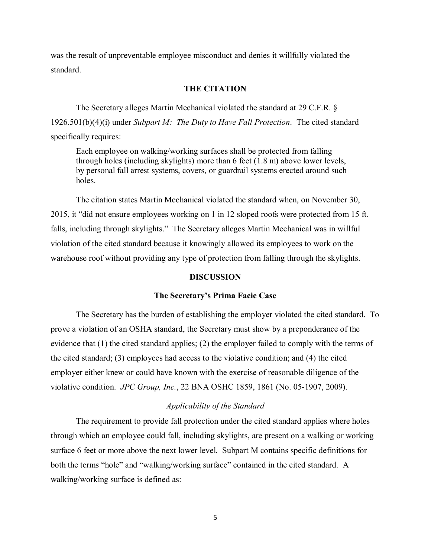was the result of unpreventable employee misconduct and denies it willfully violated the standard.

### **THE CITATION**

The Secretary alleges Martin Mechanical violated the standard at 29 C.F.R. § 1926.501(b)(4)(i) under *Subpart M: The Duty to Have Fall Protection*. The cited standard specifically requires:

Each employee on walking/working surfaces shall be protected from falling through holes (including skylights) more than 6 feet (1.8 m) above lower levels, by personal fall arrest systems, covers, or guardrail systems erected around such holes.

The citation states Martin Mechanical violated the standard when, on November 30, 2015, it "did not ensure employees working on 1 in 12 sloped roofs were protected from 15 ft. falls, including through skylights." The Secretary alleges Martin Mechanical was in willful violation of the cited standard because it knowingly allowed its employees to work on the warehouse roof without providing any type of protection from falling through the skylights.

#### **DISCUSSION**

### **The Secretary's Prima Facie Case**

The Secretary has the burden of establishing the employer violated the cited standard. To prove a violation of an OSHA standard, the Secretary must show by a preponderance of the evidence that (1) the cited standard applies; (2) the employer failed to comply with the terms of the cited standard; (3) employees had access to the violative condition; and (4) the cited employer either knew or could have known with the exercise of reasonable diligence of the violative condition. *JPC Group, Inc.*, 22 BNA OSHC 1859, 1861 (No. 05-1907, 2009).

# *Applicability of the Standard*

The requirement to provide fall protection under the cited standard applies where holes through which an employee could fall, including skylights, are present on a walking or working surface 6 feet or more above the next lower level. Subpart M contains specific definitions for both the terms "hole" and "walking/working surface" contained in the cited standard. A walking/working surface is defined as: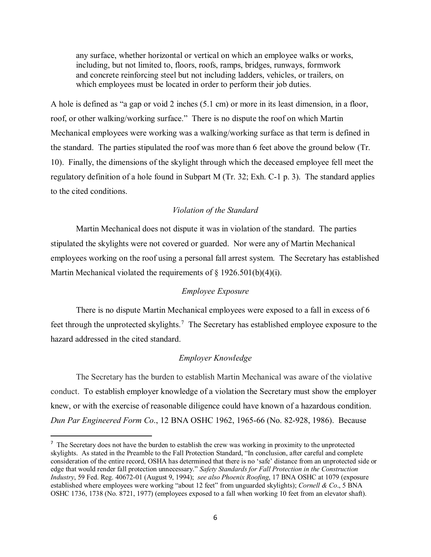any surface, whether horizontal or vertical on which an employee walks or works, including, but not limited to, floors, roofs, ramps, bridges, runways, formwork and concrete reinforcing steel but not including ladders, vehicles, or trailers, on which employees must be located in order to perform their job duties.

A hole is defined as "a gap or void 2 inches (5.1 cm) or more in its least dimension, in a floor, roof, or other walking/working surface." There is no dispute the roof on which Martin Mechanical employees were working was a walking/working surface as that term is defined in the standard. The parties stipulated the roof was more than 6 feet above the ground below (Tr. 10). Finally, the dimensions of the skylight through which the deceased employee fell meet the regulatory definition of a hole found in Subpart M (Tr. 32; Exh. C-1 p. 3). The standard applies to the cited conditions.

# *Violation of the Standard*

Martin Mechanical does not dispute it was in violation of the standard. The parties stipulated the skylights were not covered or guarded. Nor were any of Martin Mechanical employees working on the roof using a personal fall arrest system. The Secretary has established Martin Mechanical violated the requirements of § 1926.501(b)(4)(i).

### *Employee Exposure*

There is no dispute Martin Mechanical employees were exposed to a fall in excess of 6 feet through the unprotected skylights.<sup>[7](#page-5-0)</sup> The Secretary has established employee exposure to the hazard addressed in the cited standard.

### *Employer Knowledge*

The Secretary has the burden to establish Martin Mechanical was aware of the violative conduct. To establish employer knowledge of a violation the Secretary must show the employer knew, or with the exercise of reasonable diligence could have known of a hazardous condition. *Dun Par Engineered Form Co*., 12 BNA OSHC 1962, 1965-66 (No. 82-928, 1986). Because

<span id="page-5-0"></span> $<sup>7</sup>$  The Secretary does not have the burden to establish the crew was working in proximity to the unprotected</sup> skylights. As stated in the Preamble to the Fall Protection Standard, "In conclusion, after careful and complete consideration of the entire record, OSHA has determined that there is no 'safe' distance from an unprotected side or edge that would render fall protection unnecessary." *Safety Standards for Fall Protection in the Construction Industry*, 59 Fed. Reg. 40672-01 (August 9, 1994); *see also Phoenix Roofing*, 17 BNA OSHC at 1079 (exposure established where employees were working "about 12 feet" from unguarded skylights); *Cornell & Co*., 5 BNA OSHC 1736, 1738 (No. 8721, 1977) (employees exposed to a fall when working 10 feet from an elevator shaft).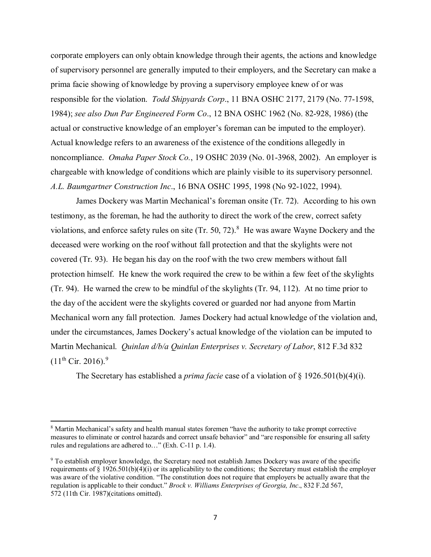corporate employers can only obtain knowledge through their agents, the actions and knowledge of supervisory personnel are generally imputed to their employers, and the Secretary can make a prima facie showing of knowledge by proving a supervisory employee knew of or was responsible for the violation. *Todd Shipyards Corp*., 11 BNA OSHC 2177, 2179 (No. 77-1598, 1984); *see also Dun Par Engineered Form Co*., 12 BNA OSHC 1962 (No. 82-928, 1986) (the actual or constructive knowledge of an employer's foreman can be imputed to the employer). Actual knowledge refers to an awareness of the existence of the conditions allegedly in noncompliance. *Omaha Paper Stock Co.*, 19 OSHC 2039 (No. 01-3968, 2002). An employer is chargeable with knowledge of conditions which are plainly visible to its supervisory personnel. *A.L. Baumgartner Construction Inc*., 16 BNA OSHC 1995, 1998 (No 92-1022, 1994).

James Dockery was Martin Mechanical's foreman onsite (Tr. 72). According to his own testimony, as the foreman, he had the authority to direct the work of the crew, correct safety violations, and enforce safety rules on site  $(Tr. 50, 72)^8$  $(Tr. 50, 72)^8$  He was aware Wayne Dockery and the deceased were working on the roof without fall protection and that the skylights were not covered (Tr. 93). He began his day on the roof with the two crew members without fall protection himself. He knew the work required the crew to be within a few feet of the skylights (Tr. 94). He warned the crew to be mindful of the skylights (Tr. 94, 112). At no time prior to the day of the accident were the skylights covered or guarded nor had anyone from Martin Mechanical worn any fall protection. James Dockery had actual knowledge of the violation and, under the circumstances, James Dockery's actual knowledge of the violation can be imputed to Martin Mechanical. *Quinlan d/b/a Quinlan Enterprises v. Secretary of Labor*, 812 F.3d 832  $(11<sup>th</sup> Cir. 2016).<sup>9</sup>$  $(11<sup>th</sup> Cir. 2016).<sup>9</sup>$  $(11<sup>th</sup> Cir. 2016).<sup>9</sup>$ 

The Secretary has established a *prima facie* case of a violation of § 1926.501(b)(4)(i).

 $\overline{a}$ 

<span id="page-6-0"></span><sup>8</sup> Martin Mechanical's safety and health manual states foremen "have the authority to take prompt corrective measures to eliminate or control hazards and correct unsafe behavior" and "are responsible for ensuring all safety rules and regulations are adhered to…" (Exh. C-11 p. 1.4).

<span id="page-6-1"></span><sup>&</sup>lt;sup>9</sup> To establish employer knowledge, the Secretary need not establish James Dockery was aware of the specific requirements of  $\S$  1926.501(b)(4)(i) or its applicability to the conditions; the Secretary must establish the employer was aware of the violative condition. "The constitution does not require that employers be actually aware that the regulation is applicable to their conduct." *Brock v. Williams Enterprises of Georgia, Inc*., 832 F.2d 567, 572 (11th Cir. 1987)(citations omitted).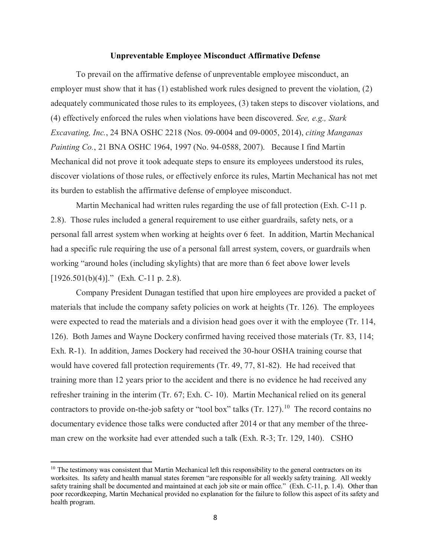#### **Unpreventable Employee Misconduct Affirmative Defense**

To prevail on the affirmative defense of unpreventable employee misconduct, an employer must show that it has (1) established work rules designed to prevent the violation, (2) adequately communicated those rules to its employees, (3) taken steps to discover violations, and (4) effectively enforced the rules when violations have been discovered. *See, e.g., Stark Excavating, Inc.*, 24 BNA OSHC 2218 (Nos. 09-0004 and 09-0005, 2014), *citing Manganas Painting Co.*, 21 BNA OSHC 1964, 1997 (No. 94-0588, 2007). Because I find Martin Mechanical did not prove it took adequate steps to ensure its employees understood its rules, discover violations of those rules, or effectively enforce its rules, Martin Mechanical has not met its burden to establish the affirmative defense of employee misconduct.

Martin Mechanical had written rules regarding the use of fall protection (Exh. C-11 p. 2.8). Those rules included a general requirement to use either guardrails, safety nets, or a personal fall arrest system when working at heights over 6 feet. In addition, Martin Mechanical had a specific rule requiring the use of a personal fall arrest system, covers, or guardrails when working "around holes (including skylights) that are more than 6 feet above lower levels  $[1926.501(b)(4)]$ ." (Exh. C-11 p. 2.8).

Company President Dunagan testified that upon hire employees are provided a packet of materials that include the company safety policies on work at heights (Tr. 126). The employees were expected to read the materials and a division head goes over it with the employee (Tr. 114, 126). Both James and Wayne Dockery confirmed having received those materials (Tr. 83, 114; Exh. R-1). In addition, James Dockery had received the 30-hour OSHA training course that would have covered fall protection requirements (Tr. 49, 77, 81-82). He had received that training more than 12 years prior to the accident and there is no evidence he had received any refresher training in the interim (Tr. 67; Exh. C- 10). Martin Mechanical relied on its general contractors to provide on-the-job safety or "tool box" talks (Tr. 127).<sup>10</sup> The record contains no documentary evidence those talks were conducted after 2014 or that any member of the threeman crew on the worksite had ever attended such a talk (Exh. R-3; Tr. 129, 140). CSHO

 $\overline{\phantom{a}}$ 

<span id="page-7-0"></span> $10$  The testimony was consistent that Martin Mechanical left this responsibility to the general contractors on its worksites. Its safety and health manual states foremen "are responsible for all weekly safety training. All weekly safety training shall be documented and maintained at each job site or main office." (Exh. C-11, p. 1.4). Other than poor recordkeeping, Martin Mechanical provided no explanation for the failure to follow this aspect of its safety and health program.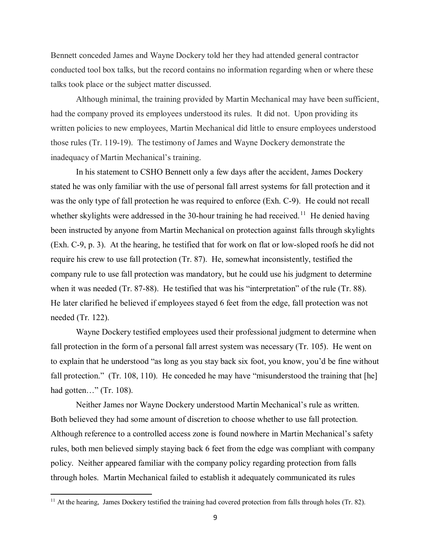Bennett conceded James and Wayne Dockery told her they had attended general contractor conducted tool box talks, but the record contains no information regarding when or where these talks took place or the subject matter discussed.

Although minimal, the training provided by Martin Mechanical may have been sufficient, had the company proved its employees understood its rules. It did not. Upon providing its written policies to new employees, Martin Mechanical did little to ensure employees understood those rules (Tr. 119-19). The testimony of James and Wayne Dockery demonstrate the inadequacy of Martin Mechanical's training.

In his statement to CSHO Bennett only a few days after the accident, James Dockery stated he was only familiar with the use of personal fall arrest systems for fall protection and it was the only type of fall protection he was required to enforce (Exh. C-9). He could not recall whether skylights were addressed in the 30-hour training he had received.<sup>11</sup> He denied having been instructed by anyone from Martin Mechanical on protection against falls through skylights (Exh. C-9, p. 3). At the hearing, he testified that for work on flat or low-sloped roofs he did not require his crew to use fall protection (Tr. 87). He, somewhat inconsistently, testified the company rule to use fall protection was mandatory, but he could use his judgment to determine when it was needed (Tr. 87-88). He testified that was his "interpretation" of the rule (Tr. 88). He later clarified he believed if employees stayed 6 feet from the edge, fall protection was not needed (Tr. 122).

Wayne Dockery testified employees used their professional judgment to determine when fall protection in the form of a personal fall arrest system was necessary (Tr. 105). He went on to explain that he understood "as long as you stay back six foot, you know, you'd be fine without fall protection." (Tr. 108, 110). He conceded he may have "misunderstood the training that [he] had gotten…" (Tr. 108).

Neither James nor Wayne Dockery understood Martin Mechanical's rule as written. Both believed they had some amount of discretion to choose whether to use fall protection. Although reference to a controlled access zone is found nowhere in Martin Mechanical's safety rules, both men believed simply staying back 6 feet from the edge was compliant with company policy. Neither appeared familiar with the company policy regarding protection from falls through holes. Martin Mechanical failed to establish it adequately communicated its rules

 $\overline{\phantom{a}}$ 

<span id="page-8-0"></span> $11$  At the hearing, James Dockery testified the training had covered protection from falls through holes (Tr. 82).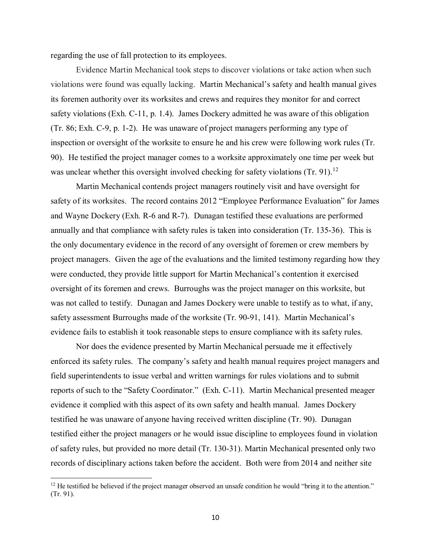regarding the use of fall protection to its employees.

Evidence Martin Mechanical took steps to discover violations or take action when such violations were found was equally lacking. Martin Mechanical's safety and health manual gives its foremen authority over its worksites and crews and requires they monitor for and correct safety violations (Exh. C-11, p. 1.4). James Dockery admitted he was aware of this obligation (Tr. 86; Exh. C-9, p. 1-2). He was unaware of project managers performing any type of inspection or oversight of the worksite to ensure he and his crew were following work rules (Tr. 90). He testified the project manager comes to a worksite approximately one time per week but was unclear whether this oversight involved checking for safety violations (Tr. 91).<sup>12</sup>

Martin Mechanical contends project managers routinely visit and have oversight for safety of its worksites. The record contains 2012 "Employee Performance Evaluation" for James and Wayne Dockery (Exh. R-6 and R-7). Dunagan testified these evaluations are performed annually and that compliance with safety rules is taken into consideration (Tr. 135-36). This is the only documentary evidence in the record of any oversight of foremen or crew members by project managers. Given the age of the evaluations and the limited testimony regarding how they were conducted, they provide little support for Martin Mechanical's contention it exercised oversight of its foremen and crews. Burroughs was the project manager on this worksite, but was not called to testify. Dunagan and James Dockery were unable to testify as to what, if any, safety assessment Burroughs made of the worksite (Tr. 90-91, 141). Martin Mechanical's evidence fails to establish it took reasonable steps to ensure compliance with its safety rules.

Nor does the evidence presented by Martin Mechanical persuade me it effectively enforced its safety rules. The company's safety and health manual requires project managers and field superintendents to issue verbal and written warnings for rules violations and to submit reports of such to the "Safety Coordinator." (Exh. C-11). Martin Mechanical presented meager evidence it complied with this aspect of its own safety and health manual. James Dockery testified he was unaware of anyone having received written discipline (Tr. 90). Dunagan testified either the project managers or he would issue discipline to employees found in violation of safety rules, but provided no more detail (Tr. 130-31). Martin Mechanical presented only two records of disciplinary actions taken before the accident. Both were from 2014 and neither site

<span id="page-9-0"></span> $12$  He testified he believed if the project manager observed an unsafe condition he would "bring it to the attention." (Tr. 91).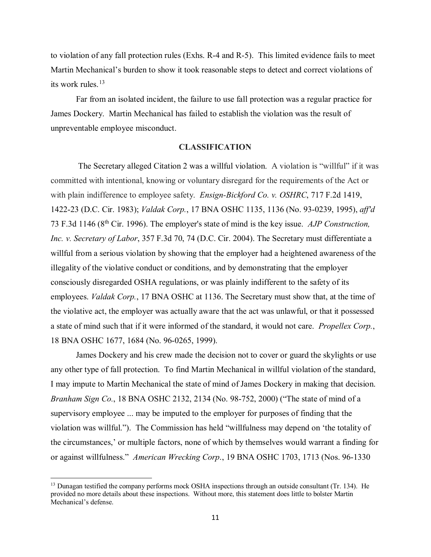to violation of any fall protection rules (Exhs. R-4 and R-5). This limited evidence fails to meet Martin Mechanical's burden to show it took reasonable steps to detect and correct violations of its work rules.[13](#page-10-0)

Far from an isolated incident, the failure to use fall protection was a regular practice for James Dockery. Martin Mechanical has failed to establish the violation was the result of unpreventable employee misconduct.

### **CLASSIFICATION**

 The Secretary alleged Citation 2 was a willful violation. A violation is "willful" if it was committed with intentional, knowing or voluntary disregard for the requirements of the Act or with plain indifference to employee safety. *Ensign-Bickford Co. v. OSHRC*, 717 F.2d 1419, 1422-23 (D.C. Cir. 1983); *Valdak Corp.*, 17 BNA OSHC 1135, 1136 (No. 93-0239, 1995), *aff'd* 73 F.3d 1146 (8th Cir. 1996). The employer's state of mind is the key issue. *AJP Construction, Inc. v. Secretary of Labor*, 357 F.3d 70, 74 (D.C. Cir. 2004). The Secretary must differentiate a willful from a serious violation by showing that the employer had a heightened awareness of the illegality of the violative conduct or conditions, and by demonstrating that the employer consciously disregarded OSHA regulations, or was plainly indifferent to the safety of its employees. *Valdak Corp.*, 17 BNA OSHC at 1136. The Secretary must show that, at the time of the violative act, the employer was actually aware that the act was unlawful, or that it possessed a state of mind such that if it were informed of the standard, it would not care. *Propellex Corp.*, 18 BNA OSHC 1677, 1684 (No. 96-0265, 1999).

James Dockery and his crew made the decision not to cover or guard the skylights or use any other type of fall protection. To find Martin Mechanical in willful violation of the standard, I may impute to Martin Mechanical the state of mind of James Dockery in making that decision. *Branham Sign Co.*, 18 BNA OSHC 2132, 2134 (No. 98-752, 2000) ("The state of mind of a supervisory employee ... may be imputed to the employer for purposes of finding that the violation was willful."). The Commission has held "willfulness may depend on 'the totality of the circumstances,' or multiple factors, none of which by themselves would warrant a finding for or against willfulness." *American Wrecking Corp*., 19 BNA OSHC 1703, 1713 (Nos. 96-1330

<span id="page-10-0"></span><sup>&</sup>lt;sup>13</sup> Dunagan testified the company performs mock OSHA inspections through an outside consultant (Tr. 134). He provided no more details about these inspections. Without more, this statement does little to bolster Martin Mechanical's defense.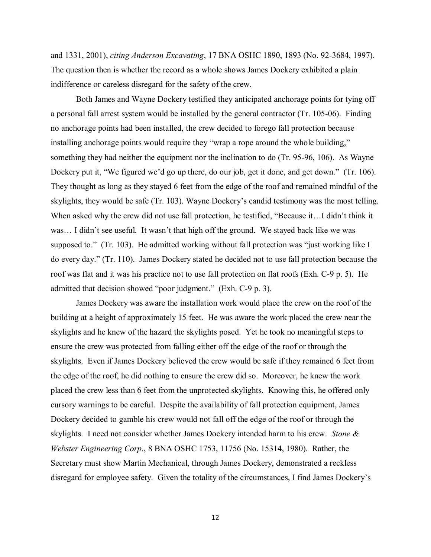and 1331, 2001), *citing Anderson Excavating*, 17 BNA OSHC 1890, 1893 (No. 92-3684, 1997). The question then is whether the record as a whole shows James Dockery exhibited a plain indifference or careless disregard for the safety of the crew.

Both James and Wayne Dockery testified they anticipated anchorage points for tying off a personal fall arrest system would be installed by the general contractor (Tr. 105-06). Finding no anchorage points had been installed, the crew decided to forego fall protection because installing anchorage points would require they "wrap a rope around the whole building," something they had neither the equipment nor the inclination to do (Tr. 95-96, 106). As Wayne Dockery put it, "We figured we'd go up there, do our job, get it done, and get down." (Tr. 106). They thought as long as they stayed 6 feet from the edge of the roof and remained mindful of the skylights, they would be safe (Tr. 103). Wayne Dockery's candid testimony was the most telling. When asked why the crew did not use fall protection, he testified, "Because it…I didn't think it was… I didn't see useful. It wasn't that high off the ground. We stayed back like we was supposed to." (Tr. 103). He admitted working without fall protection was "just working like I do every day." (Tr. 110). James Dockery stated he decided not to use fall protection because the roof was flat and it was his practice not to use fall protection on flat roofs (Exh. C-9 p. 5). He admitted that decision showed "poor judgment." (Exh. C-9 p. 3).

James Dockery was aware the installation work would place the crew on the roof of the building at a height of approximately 15 feet. He was aware the work placed the crew near the skylights and he knew of the hazard the skylights posed. Yet he took no meaningful steps to ensure the crew was protected from falling either off the edge of the roof or through the skylights. Even if James Dockery believed the crew would be safe if they remained 6 feet from the edge of the roof, he did nothing to ensure the crew did so. Moreover, he knew the work placed the crew less than 6 feet from the unprotected skylights. Knowing this, he offered only cursory warnings to be careful. Despite the availability of fall protection equipment, James Dockery decided to gamble his crew would not fall off the edge of the roof or through the skylights. I need not consider whether James Dockery intended harm to his crew. *Stone & Webster Engineering Corp*., 8 BNA OSHC 1753, 11756 (No. 15314, 1980). Rather, the Secretary must show Martin Mechanical, through James Dockery, demonstrated a reckless disregard for employee safety. Given the totality of the circumstances, I find James Dockery's

12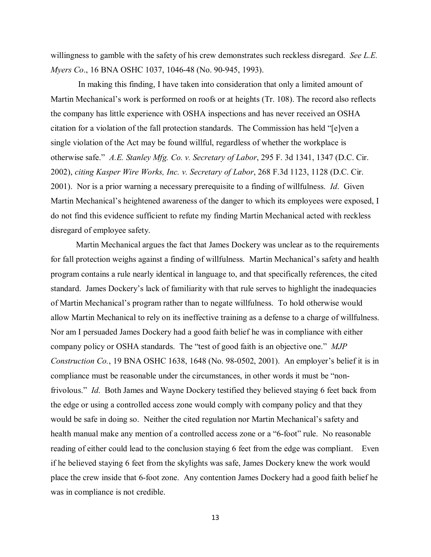willingness to gamble with the safety of his crew demonstrates such reckless disregard. *See L.E. Myers Co*., 16 BNA OSHC 1037, 1046-48 (No. 90-945, 1993).

In making this finding, I have taken into consideration that only a limited amount of Martin Mechanical's work is performed on roofs or at heights (Tr. 108). The record also reflects the company has little experience with OSHA inspections and has never received an OSHA citation for a violation of the fall protection standards. The Commission has held "[e]ven a single violation of the Act may be found willful, regardless of whether the workplace is otherwise safe." *A.E. Stanley Mfg. Co. v. Secretary of Labor*, 295 F. 3d 1341, 1347 (D.C. Cir. 2002), *citing Kasper Wire Works, Inc. v. Secretary of Labor*, 268 F.3d 1123, 1128 (D.C. Cir. 2001). Nor is a prior warning a necessary prerequisite to a finding of willfulness. *Id*. Given Martin Mechanical's heightened awareness of the danger to which its employees were exposed, I do not find this evidence sufficient to refute my finding Martin Mechanical acted with reckless disregard of employee safety.

Martin Mechanical argues the fact that James Dockery was unclear as to the requirements for fall protection weighs against a finding of willfulness. Martin Mechanical's safety and health program contains a rule nearly identical in language to, and that specifically references, the cited standard. James Dockery's lack of familiarity with that rule serves to highlight the inadequacies of Martin Mechanical's program rather than to negate willfulness. To hold otherwise would allow Martin Mechanical to rely on its ineffective training as a defense to a charge of willfulness. Nor am I persuaded James Dockery had a good faith belief he was in compliance with either company policy or OSHA standards. The "test of good faith is an objective one." *MJP Construction Co.*, 19 BNA OSHC 1638, 1648 (No. 98-0502, 2001). An employer's belief it is in compliance must be reasonable under the circumstances, in other words it must be "nonfrivolous." *Id*. Both James and Wayne Dockery testified they believed staying 6 feet back from the edge or using a controlled access zone would comply with company policy and that they would be safe in doing so. Neither the cited regulation nor Martin Mechanical's safety and health manual make any mention of a controlled access zone or a "6-foot" rule. No reasonable reading of either could lead to the conclusion staying 6 feet from the edge was compliant. Even if he believed staying 6 feet from the skylights was safe, James Dockery knew the work would place the crew inside that 6-foot zone. Any contention James Dockery had a good faith belief he was in compliance is not credible.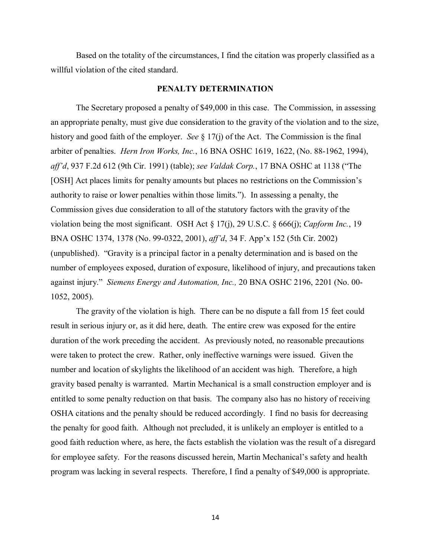Based on the totality of the circumstances, I find the citation was properly classified as a willful violation of the cited standard.

#### **PENALTY DETERMINATION**

The Secretary proposed a penalty of \$49,000 in this case. The Commission, in assessing an appropriate penalty, must give due consideration to the gravity of the violation and to the size, history and good faith of the employer. *See* § 17(j) of the Act. The Commission is the final arbiter of penalties. *Hern Iron Works, Inc.*, 16 BNA OSHC 1619, 1622, (No. 88-1962, 1994), *aff'd*, 937 F.2d 612 (9th Cir. 1991) (table); *see Valdak Corp.*, 17 BNA OSHC at 1138 ("The [OSH] Act places limits for penalty amounts but places no restrictions on the Commission's authority to raise or lower penalties within those limits."). In assessing a penalty, the Commission gives due consideration to all of the statutory factors with the gravity of the violation being the most significant. OSH Act § 17(j), 29 U.S.C. § 666(j); *Capform Inc.*, 19 BNA OSHC 1374, 1378 (No. 99-0322, 2001), *aff'd*, 34 F. App'x 152 (5th Cir. 2002) (unpublished). "Gravity is a principal factor in a penalty determination and is based on the number of employees exposed, duration of exposure, likelihood of injury, and precautions taken against injury." *Siemens Energy and Automation, Inc.,* 20 BNA OSHC 2196, 2201 (No. 00- 1052, 2005).

The gravity of the violation is high. There can be no dispute a fall from 15 feet could result in serious injury or, as it did here, death. The entire crew was exposed for the entire duration of the work preceding the accident. As previously noted, no reasonable precautions were taken to protect the crew. Rather, only ineffective warnings were issued. Given the number and location of skylights the likelihood of an accident was high. Therefore, a high gravity based penalty is warranted. Martin Mechanical is a small construction employer and is entitled to some penalty reduction on that basis. The company also has no history of receiving OSHA citations and the penalty should be reduced accordingly. I find no basis for decreasing the penalty for good faith. Although not precluded, it is unlikely an employer is entitled to a good faith reduction where, as here, the facts establish the violation was the result of a disregard for employee safety. For the reasons discussed herein, Martin Mechanical's safety and health program was lacking in several respects. Therefore, I find a penalty of \$49,000 is appropriate.

14